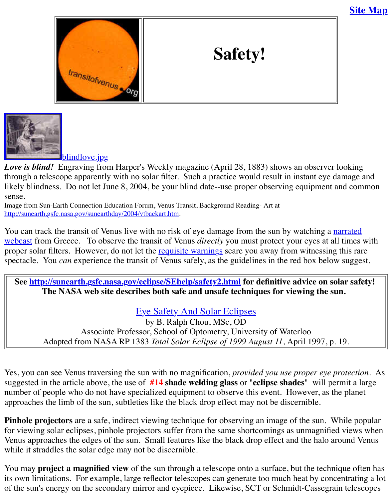



#### blindlove.jpg

*Love is blind!* [Engraving from Harper](http://old.transitofvenus.org/index.htm)'s Weekly magazine (April 28, 1883) shows an observer through a telescope apparently with no solar filter. Such a practice would result in instant eye [likely blindness. Do not let Ju](http://old.transitofvenus.org/blindlove.jpg)ne 8, 2004, be your blind date--use proper observing equipment sense.

Image from Sun-Earth Connection Education Forum, Venus Transit, Background Reading- Art at http://sunearth.gsfc.nasa.gov/sunearthday/2004/vtbackart.htm.

You can track the transit of Venus live with no risk of eye damage from the sun by watching a webcast from Greece. To observe the transit of Venus *directly* you must protect your eyes at a proper solar filters. However, do not let the requisite warnings scare you away from witnessin spectacle. You *can* experience the transit of Venus safely, as the guidelines in the red box belo

**[See http://sunearth.gsfc.nasa.gov/eclipse/SEh](http://sunearth.gsfc.nasa.gov/sunearthday/2004/vtbackart.htm)elp/safety2.html** for definitive advice on s The NASA web site describes both safe and unsafe techniques for viewing the s

## [Eye Safety And Solar Eclipses](http://www.exploratorium.com/venus/index.html)

by [B. Ralph Chou, MS](http://old.transitofvenus.org/safety.htm#fineprint)c, OD Associate Professor, School of Optometry, University of Waterloo [Adapted from NASA RP 1383](http://sunearth.gsfc.nasa.gov/eclipse/SEhelp/safety2.html) *Total Solar Eclipse of 1999 August 11*, April 1997, p.

Yes, you can see Venus traversing the sun with no magnification, *provided you use proper eye* suggested in the article above, the use of **[#14 shade welding glass](http://sunearth.gsfc.nasa.gov/eclipse/SEhelp/safety2.html)** or "**eclipse shades**" will permit a large number of people who do not have specialized equipment to observe this event. However, as the planet approaches the limb of the sun, subtleties like the black drop effect may not be discernible.

Pinhole projectors are a safe, indirect viewing technique for observing an image of the sun. V for viewing solar eclipses, pinhole projectors suffer from the same shortcomings as unmagnific Venus approaches the edges of the sun. Small features like the black drop effect and the halo a while it straddles the solar edge may not be discernible.

You may **project a magnified view** of the sun through a telescope onto a surface, but the technique of its own limitations. For example, large reflector telescopes can generate too much heat by con of the sun's energy on the secondary mirror and eyepiece. Likewise, SCT or Schmidt-Cassegra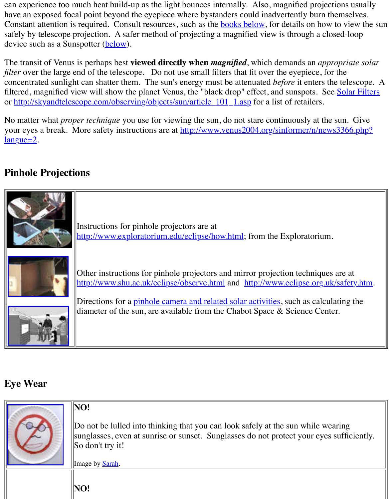*filter* over the large end of the telescope. Do not use small filters that fit over the eyepiece, for concentrated sunlight can shatter them. The sun's energy must be attenuated *before* it enters the filtered, magnified view will show the planet Venus, the "blac[k drop" effect](http://old.transitofvenus.org/safety.htm#book1), and sunspots. See or http://skyandtelescope.com/observing/objects/sun/article\_101\_1.asp for a list of retailers.

No matter what *proper tech[nique](http://old.transitofvenus.org/safety.htm#sunspotter)* you use for viewing the sun, do not stare continuously at the your eyes a break. More safety instructions are at http://www.venus2004.org/sinformer/n/new  $langue=2$ .

# **Pi[nhole Projections](http://skyandtelescope.com/observing/objects/sun/article_101_1.asp)**



# **[Eye Wear](http://www.shu.ac.uk/eclipse/observe.html)**

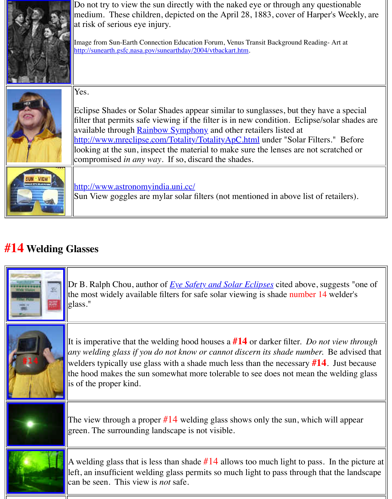|  | Yes.<br>Eclipse Shades or Solar Shades appear similar to sunglasses, but they have<br>filter that permits safe viewing if the filter is in new condition. Eclipse/sol<br>available through <b>Rainbow Symphony</b> and other retailers listed at<br>http://www.mreclipse.com/Totality/TotalityApC.html under "Solar Filters.<br>looking at the sun, inspect the material to make sure the lenses are not scra<br>compromised <i>in any way</i> . If so, discard the shades. |
|--|-----------------------------------------------------------------------------------------------------------------------------------------------------------------------------------------------------------------------------------------------------------------------------------------------------------------------------------------------------------------------------------------------------------------------------------------------------------------------------|
|  | http://www.astronomyindia.uni.cc/<br>Sun View goggles are mylar solar filters (not mentioned in above list of ret                                                                                                                                                                                                                                                                                                                                                           |

# **#14 Welding G[lasses](http://www.astronomyindia.uni.cc/)**

| T.<br><b>Co. Visitry</b> | Dr B. Ralph Chou, author of <u>Eye Safety and Solar Eclipses</u> cited above, sug.<br>the most widely available filters for safe solar viewing is shade number 14 w<br>glass."                                                                                                                                                                        |
|--------------------------|-------------------------------------------------------------------------------------------------------------------------------------------------------------------------------------------------------------------------------------------------------------------------------------------------------------------------------------------------------|
|                          | It is imperative that the welding hood houses a $#14$ or darker filter. Do not<br>any welding glass if you do not know or cannot discern its shade number. B<br>welders typically use glass with a shade much less than the necessary $\#14$ .<br>the hood makes the sun somewhat more tolerable to see does not mean the v<br>is of the proper kind. |
|                          | The view through a proper $#14$ welding glass shows only the sun, which wi<br>green. The surrounding landscape is not visible.                                                                                                                                                                                                                        |
|                          | A welding glass that is less than shade $#14$ allows too much light to pass. In<br>left, an insufficient welding glass permits so much light to pass through that<br>can be seen. This view is <i>not</i> safe.                                                                                                                                       |
|                          |                                                                                                                                                                                                                                                                                                                                                       |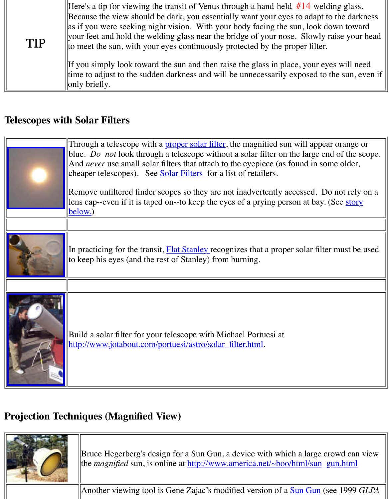|  | ttime to adjust to the sudden darkness and will be unnecessarily exposed to th |  |
|--|--------------------------------------------------------------------------------|--|
|  | $\parallel$ only briefly.                                                      |  |

## **Telescopes with Solar Filters**

| below.)                                                                                                                       | Through a telescope with a <b>proper solar filter</b> , the magnified sun will appear<br>blue. Do not look through a telescope without a solar filter on the large end<br>And <i>never</i> use small solar filters that attach to the eyepiece (as found in som<br>cheaper telescopes). See <b>Solar Filters</b> for a list of retailers. |
|-------------------------------------------------------------------------------------------------------------------------------|-------------------------------------------------------------------------------------------------------------------------------------------------------------------------------------------------------------------------------------------------------------------------------------------------------------------------------------------|
|                                                                                                                               | Remove unfiltered finder scopes so they are not inadvertently accessed. Do<br>lens cap--even if it is taped on--to keep the eyes of a prying person at bay. (S                                                                                                                                                                            |
|                                                                                                                               |                                                                                                                                                                                                                                                                                                                                           |
| to keep his eyes (and the rest of Stanley) from burning.                                                                      | In practicing for the transit, <b>Flat Stanley</b> recognizes that a proper solar filter                                                                                                                                                                                                                                                  |
|                                                                                                                               |                                                                                                                                                                                                                                                                                                                                           |
| Build a solar filter for your telescope with Michael Portuesi at<br>http://www.jotabout.com/portuesi/astro/solar_filter.html. |                                                                                                                                                                                                                                                                                                                                           |

## **[Projection Techniques \(Magnified View\)](http://www.jotabout.com/portuesi/astro/solar_filter.html)**

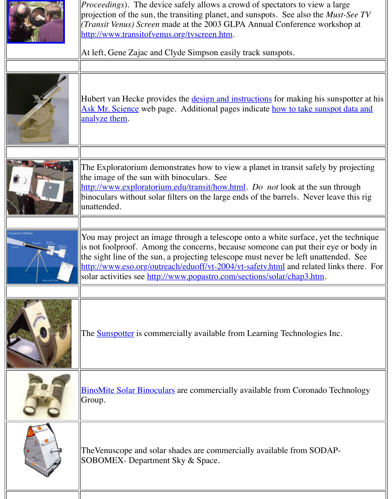|                      | Hubert van Hecke provides the <u>design and instructions</u> for making his su<br>Ask Mr. Science web page. Additional pages indicate how to take sunsp<br>analyze them.                                                                                                                                                                                                               |
|----------------------|----------------------------------------------------------------------------------------------------------------------------------------------------------------------------------------------------------------------------------------------------------------------------------------------------------------------------------------------------------------------------------------|
|                      | The Exploratorium demonstrates how to view a planet in transit safely b<br>the image of the sun with binoculars. See<br>http://www.exploratorium.edu/transit/how.html. Do not look at the sun<br>binoculars without solar filters on the large ends of the barrels. Never le<br>unattended.                                                                                            |
| <b>DESTRA VIATOS</b> | You may project an image through a telescope onto a white surface, yet<br>is not foolproof. Among the concerns, because someone can put their ey<br>the sight line of the sun, a projecting telescope must never be left unatter<br>http://www.eso.org/outreach/eduoff/vt-2004/vt-safety.html and related li<br>solar activities see http://www.popastro.com/sections/solar/chap3.htm. |
|                      |                                                                                                                                                                                                                                                                                                                                                                                        |
|                      | The <b>Sunspotter</b> is commercially available from Learning Technologies In                                                                                                                                                                                                                                                                                                          |
|                      | <b>BinoMite Solar Binoculars</b> are commercially available from Coronado T<br>Group.                                                                                                                                                                                                                                                                                                  |
|                      | The Venuscope and solar shades are commercially available from SODA<br>SOBOMEX- Department Sky & Space.                                                                                                                                                                                                                                                                                |
|                      |                                                                                                                                                                                                                                                                                                                                                                                        |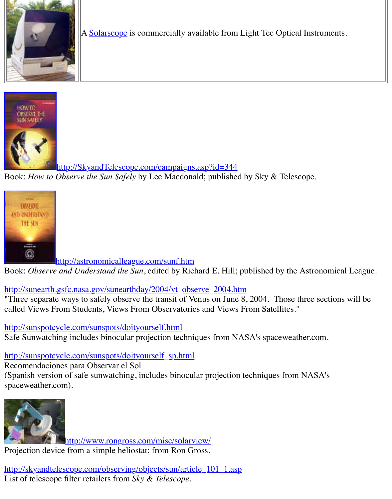



[http://SkyandTelescope.com/campaigns.asp?id=344](http://skyandtelescope.com/campaigns.asp?id=344)

Book: *How to Observe the Sun Safely* by Lee Macdonald; published by Sky & Telescope.



http://astronomicalleague.com/sunf.htm

Book: Observe and Understand the Sun, edited by Richard E. Hill; published by the Astronom

## [http://sunearth.gsfc.nasa.gov/sunearthday/2004/vt\\_obse](http://astronomicalleague.com/sunf.htm)rve\_2004.htm

"Three separate ways to safely observe the transit of Venus on June 8, 2004. Those three sections called Views From Students, Views From Observatories and Views From Satellites."

#### http://sunspotcycle.com/sunspots/doityourself.html

Safe Sunwatching includes binocular projection techniques from NASA's spaceweather.com.

## [http://sunspotcycle.com/sunspots/doityourself\\_sp.html](http://sunearth.gsfc.nasa.gov/sunearthday/2004/vt_observe_2004.htm)

Recomendaciones para Observar el Sol (Spanish version of safe sunwatching, includes binocular projection techniques from NASA's

spaceweather.com).



http://www.rongross.com/misc/solarview/

Projection device from a simple heliostat; from Ron Gross.

[http://skyandtelescope.com/observing/objects/sun/article\\_10](http://www.rongross.com/misc/solarview/)1\_1.asp List of telescope filter retailers from *Sky & Telescope*.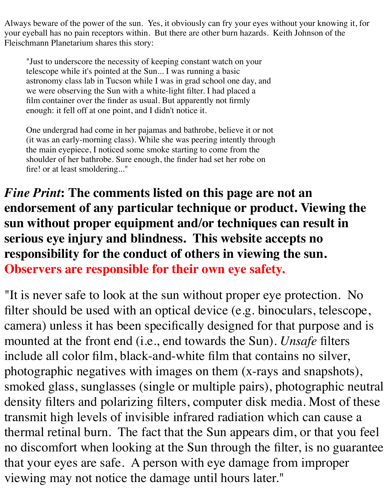Always beware of the power of the sun. Yes, it obviously can fry your eyes without your knowing it, for your eyeball has no pain receptors within. But there are other burn hazards. Keith Johnson of the Fleischmann Planetarium shares this story:

"Just to underscore the necessity of keeping constant watch on your telescope while it's pointed at the Sun... I was running a basic astronomy class lab in Tucson while I was in grad school one day, and we were observing the Sun with a white-light filter. I had placed a film container over the finder as usual. But apparently not firmly enough: it fell off at one point, and I didn't notice it.

One undergrad had come in her pajamas and bathrobe, believe it or not (it was an early-morning class). While she was peering intently through the main eyepiece, I noticed some smoke starting to come from the shoulder of her bathrobe. Sure enough, the finder had set her robe on fire! or at least smoldering..."

*Fine Print***: The comments listed on this page are not an endorsement of any particular technique or product. Viewing the sun without proper equipment and/or techniques can result in serious eye injury and blindness. This website accepts no responsibility for the conduct of others in viewing the sun. Observers are responsible for their own eye safety.**

"It is never safe to look at the sun without proper eye protection. No filter should be used with an optical device (e.g. binoculars, telescope, camera) unless it has been specifically designed for that purpose and is mounted at the front end (i.e., end towards the Sun). *Unsafe* filters include all color film, black-and-white film that contains no silver, photographic negatives with images on them (x-rays and snapshots), smoked glass, sunglasses (single or multiple pairs), photographic neutral density filters and polarizing filters, computer disk media. Most of these transmit high levels of invisible infrared radiation which can cause a thermal retinal burn. The fact that the Sun appears dim, or that you feel no discomfort when looking at the Sun through the filter, is no guarantee that your eyes are safe. A person with eye damage from improper viewing may not notice the damage until hours later."